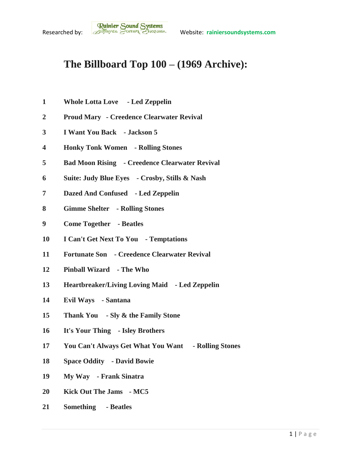## **The Billboard Top 100 – (1969 Archive):**

- **Whole Lotta Love - Led Zeppelin**
- **Proud Mary - Creedence Clearwater Revival**
- **I Want You Back - Jackson 5**
- **Honky Tonk Women - Rolling Stones**
- **Bad Moon Rising - Creedence Clearwater Revival**
- **Suite: Judy Blue Eyes - Crosby, Stills & Nash**
- **Dazed And Confused - Led Zeppelin**
- **Gimme Shelter - Rolling Stones**
- **Come Together - Beatles**
- **I Can't Get Next To You - Temptations**
- **Fortunate Son - Creedence Clearwater Revival**
- **Pinball Wizard - The Who**
- **Heartbreaker/Living Loving Maid - Led Zeppelin**
- **Evil Ways - Santana**
- **Thank You - Sly & the Family Stone**
- **It's Your Thing - Isley Brothers**
- **You Can't Always Get What You Want - Rolling Stones**
- **Space Oddity - David Bowie**
- **My Way - Frank Sinatra**
- **Kick Out The Jams - MC5**
- **Something - Beatles**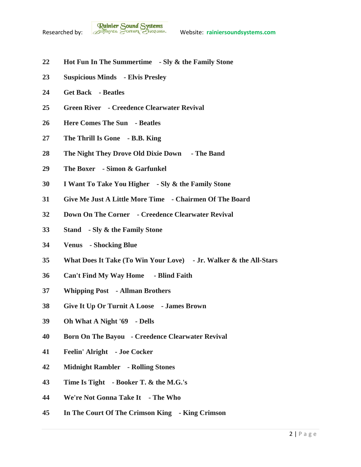- **Hot Fun In The Summertime - Sly & the Family Stone**
- **Suspicious Minds - Elvis Presley**
- **Get Back - Beatles**
- **Green River - Creedence Clearwater Revival**
- **Here Comes The Sun - Beatles**
- **The Thrill Is Gone - B.B. King**
- **The Night They Drove Old Dixie Down - The Band**
- **The Boxer - Simon & Garfunkel**
- **I Want To Take You Higher - Sly & the Family Stone**
- **Give Me Just A Little More Time - Chairmen Of The Board**
- **Down On The Corner - Creedence Clearwater Revival**
- **Stand - Sly & the Family Stone**
- **Venus - Shocking Blue**
- **What Does It Take (To Win Your Love) - Jr. Walker & the All-Stars**
- **Can't Find My Way Home - Blind Faith**
- **Whipping Post - Allman Brothers**
- **Give It Up Or Turnit A Loose - James Brown**
- **Oh What A Night '69 - Dells**
- **Born On The Bayou - Creedence Clearwater Revival**
- **Feelin' Alright - Joe Cocker**
- **Midnight Rambler - Rolling Stones**
- **Time Is Tight - Booker T. & the M.G.'s**
- **We're Not Gonna Take It - The Who**
- **In The Court Of The Crimson King - King Crimson**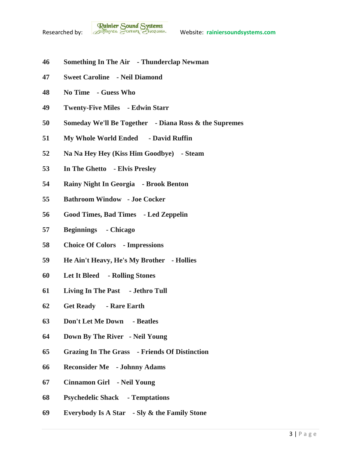- **Something In The Air - Thunderclap Newman**
- **Sweet Caroline - Neil Diamond**
- **No Time - Guess Who**
- **Twenty-Five Miles - Edwin Starr**
- **Someday We'll Be Together - Diana Ross & the Supremes**
- **My Whole World Ended - David Ruffin**
- **Na Na Hey Hey (Kiss Him Goodbye) - Steam**
- **In The Ghetto - Elvis Presley**
- **Rainy Night In Georgia - Brook Benton**
- **Bathroom Window - Joe Cocker**
- **Good Times, Bad Times - Led Zeppelin**
- **Beginnings - Chicago**
- **Choice Of Colors - Impressions**
- **He Ain't Heavy, He's My Brother - Hollies**
- **Let It Bleed - Rolling Stones**
- **Living In The Past - Jethro Tull**
- **Get Ready - Rare Earth**
- **Don't Let Me Down - Beatles**
- **Down By The River - Neil Young**
- **Grazing In The Grass - Friends Of Distinction**
- **Reconsider Me - Johnny Adams**
- **Cinnamon Girl - Neil Young**
- **Psychedelic Shack - Temptations**
- **Everybody Is A Star - Sly & the Family Stone**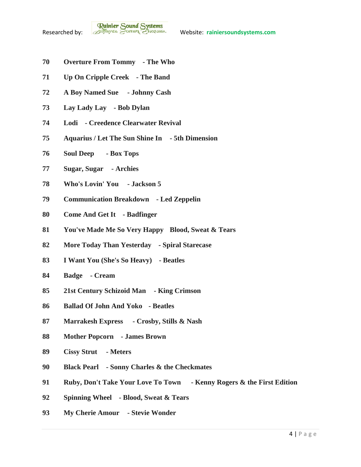- **Overture From Tommy - The Who**
- **Up On Cripple Creek - The Band**
- **A Boy Named Sue - Johnny Cash**
- **Lay Lady Lay - Bob Dylan**
- **Lodi - Creedence Clearwater Revival**
- **Aquarius / Let The Sun Shine In - 5th Dimension**
- **Soul Deep - Box Tops**
- **Sugar, Sugar - Archies**
- **Who's Lovin' You - Jackson 5**
- **Communication Breakdown - Led Zeppelin**
- **Come And Get It - Badfinger**
- **You've Made Me So Very Happy Blood, Sweat & Tears**
- **More Today Than Yesterday - Spiral Starecase**
- **I Want You (She's So Heavy) - Beatles**
- **Badge - Cream**
- **21st Century Schizoid Man - King Crimson**
- **Ballad Of John And Yoko - Beatles**
- **Marrakesh Express - Crosby, Stills & Nash**
- **Mother Popcorn - James Brown**
- **Cissy Strut - Meters**
- **Black Pearl - Sonny Charles & the Checkmates**
- **Ruby, Don't Take Your Love To Town - Kenny Rogers & the First Edition**
- **Spinning Wheel - Blood, Sweat & Tears**
- **My Cherie Amour - Stevie Wonder**